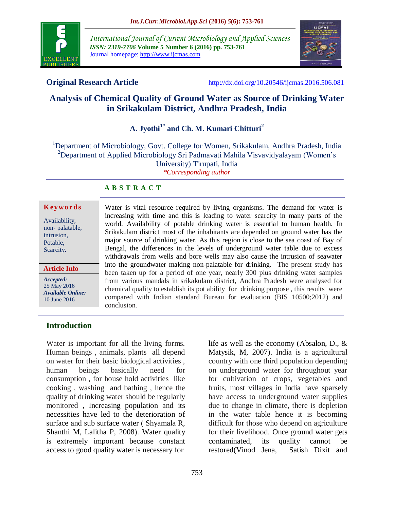

*International Journal of Current Microbiology and Applied Sciences ISSN: 2319-7706* **Volume 5 Number 6 (2016) pp. 753-761** Journal homepage: http://www.ijcmas.com



**Original Research Article** <http://dx.doi.org/10.20546/ijcmas.2016.506.081>

# **Analysis of Chemical Quality of Ground Water as Source of Drinking Water in Srikakulam District, Andhra Pradesh, India**

# **A. Jyothi1\* and Ch. M. Kumari Chitturi<sup>2</sup>**

<sup>1</sup>Department of Microbiology, Govt. College for Women, Srikakulam, Andhra Pradesh, India <sup>2</sup>Department of Applied Microbiology Sri Padmavati Mahila Visvavidyalayam (Women's University) Tirupati, India *\*Corresponding author*

## **A B S T R A C T**

#### **K ey w o rd s**

Availability, non- palatable, intrusion, Potable, Scarcity.

**Article Info**

*Accepted:*  25 May 2016 *Available Online:* 10 June 2016

Water is vital resource required by living organisms. The demand for water is increasing with time and this is leading to water scarcity in many parts of the world. Availability of potable drinking water is essential to human health. In Srikakulam district most of the inhabitants are depended on ground water has the major source of drinking water. As this region is close to the sea coast of Bay of Bengal, the differences in the levels of underground water table due to excess withdrawals from wells and bore wells may also cause the intrusion of seawater into the groundwater making non-palatable for drinking. The present study has been taken up for a period of one year, nearly 300 plus drinking water samples from various mandals in srikakulam district, Andhra Pradesh were analysed for chemical quality to establish its pot ability for drinking purpose , this results were compared with Indian standard Bureau for evaluation (BIS 10500;2012) and conclusion.

## **Introduction**

Water is important for all the living forms. Human beings , animals, plants all depend on water for their basic biological activities , human beings basically need for consumption , for house hold activities like cooking , washing and bathing , hence the quality of drinking water should be regularly monitored , Increasing population and its necessities have led to the deterioration of surface and sub surface water ( Shyamala R, Shanthi M, Lalitha P, 2008). Water quality is extremely important because constant access to good quality water is necessary for

life as well as the economy (Absalon, D., & Matysik, M, 2007). India is a agricultural country with one third population depending on underground water for throughout year for cultivation of crops, vegetables and fruits, most villages in India have sparsely have access to underground water supplies due to change in climate, there is depletion in the water table hence it is becoming difficult for those who depend on agriculture for their livelihood. Once ground water gets contaminated, its quality cannot be restored(Vinod Jena, Satish Dixit and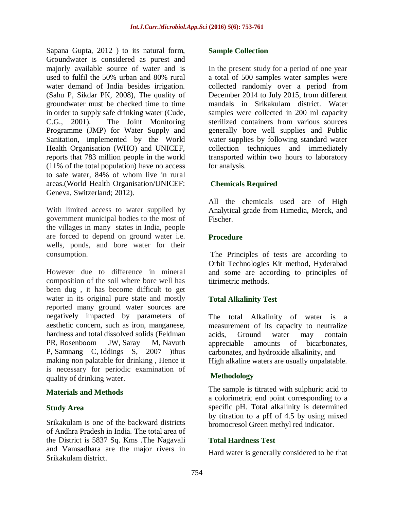Sapana Gupta, 2012 ) to its natural form, Groundwater is considered as purest and majorly available source of water and is used to fulfil the 50% urban and 80% rural water demand of India besides irrigation. (Sahu P, Sikdar PK, 2008), The quality of groundwater must be checked time to time in order to supply safe drinking water (Cude, C.G., 2001). The Joint Monitoring Programme (JMP) for Water Supply and Sanitation, implemented by the World Health Organisation (WHO) and UNICEF, reports that 783 million people in the world (11% of the total population) have no access to safe water, 84% of whom live in rural areas.(World Health Organisation/UNICEF: Geneva, Switzerland; 2012).

With limited access to water supplied by government municipal bodies to the most of the villages in many states in India, people are forced to depend on ground water i.e. wells, ponds, and bore water for their consumption.

However due to difference in mineral composition of the soil where bore well has been dug , it has become difficult to get water in its original pure state and mostly reported many ground water sources are negatively impacted by parameters of aesthetic concern, such as iron, manganese, hardness and total dissolved solids [\(Feldman](http://www.ncbi.nlm.nih.gov/pubmed/?term=Feldman%20PR%5BAuthor%5D&cauthor=true&cauthor_uid=17402283)  [PR,](http://www.ncbi.nlm.nih.gov/pubmed/?term=Feldman%20PR%5BAuthor%5D&cauthor=true&cauthor_uid=17402283) [Rosenboom JW,](http://www.ncbi.nlm.nih.gov/pubmed/?term=Rosenboom%20JW%5BAuthor%5D&cauthor=true&cauthor_uid=17402283) [Saray M,](http://www.ncbi.nlm.nih.gov/pubmed/?term=Saray%20M%5BAuthor%5D&cauthor=true&cauthor_uid=17402283) Navuth [P,](http://www.ncbi.nlm.nih.gov/pubmed/?term=Navuth%20P%5BAuthor%5D&cauthor=true&cauthor_uid=17402283) [Samnang](http://www.ncbi.nlm.nih.gov/pubmed/?term=Samnang%20C%5BAuthor%5D&cauthor=true&cauthor_uid=17402283) C, [Iddings S,](http://www.ncbi.nlm.nih.gov/pubmed/?term=Iddings%20S%5BAuthor%5D&cauthor=true&cauthor_uid=17402283) 2007 )thus making non palatable for drinking , Hence it is necessary for periodic examination of quality of drinking water.

## **Materials and Methods**

#### **Study Area**

Srikakulam is one of the backward districts of Andhra Pradesh in India. The total area of the District is 5837 Sq. Kms .The Nagavali and Vamsadhara are the major rivers in Srikakulam district.

#### **Sample Collection**

In the present study for a period of one year a total of 500 samples water samples were collected randomly over a period from December 2014 to July 2015, from different mandals in Srikakulam district. Water samples were collected in 200 ml capacity sterilized containers from various sources generally bore well supplies and Public water supplies by following standard water collection techniques and immediately transported within two hours to laboratory for analysis.

## **Chemicals Required**

All the chemicals used are of High Analytical grade from Himedia, Merck, and Fischer.

## **Procedure**

The Principles of tests are according to Orbit Technologies Kit method, Hyderabad and some are according to principles of titrimetric methods.

## **Total Alkalinity Test**

The total Alkalinity of water is a measurement of its capacity to neutralize acids, Ground water may contain appreciable amounts of bicarbonates, carbonates, and hydroxide alkalinity, and High alkaline waters are usually unpalatable.

#### **Methodology**

The sample is titrated with sulphuric acid to a colorimetric end point corresponding to a specific pH. Total alkalinity is determined by titration to a pH of 4.5 by using mixed bromocresol Green methyl red indicator.

## **Total Hardness Test**

Hard water is generally considered to be that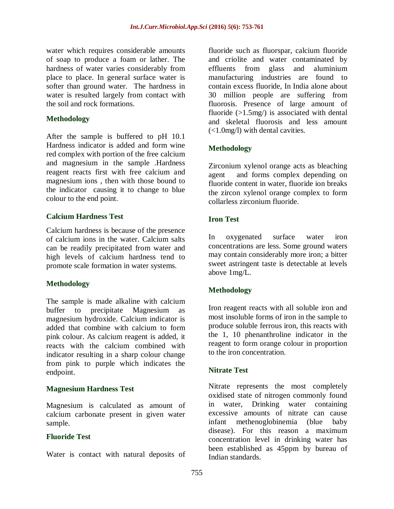water which requires considerable amounts of soap to produce a foam or lather. The hardness of water varies considerably from place to place. In general surface water is softer than ground water. The hardness in water is resulted largely from contact with the soil and rock formations.

## **Methodology**

After the sample is buffered to pH 10.1 Hardness indicator is added and form wine red complex with portion of the free calcium and magnesium in the sample .Hardness reagent reacts first with free calcium and magnesium ions , then with those bound to the indicator causing it to change to blue colour to the end point.

## **Calcium Hardness Test**

Calcium hardness is because of the presence of calcium ions in the water. Calcium salts can be readily precipitated from water and high levels of calcium hardness tend to promote scale formation in water systems.

# **Methodology**

The sample is made alkaline with calcium buffer to precipitate Magnesium as magnesium hydroxide. Calcium indicator is added that combine with calcium to form pink colour. As calcium reagent is added, it reacts with the calcium combined with indicator resulting in a sharp colour change from pink to purple which indicates the endpoint.

# **Magnesium Hardness Test**

Magnesium is calculated as amount of calcium carbonate present in given water sample.

## **Fluoride Test**

Water is contact with natural deposits of

fluoride such as fluorspar, calcium fluoride and criolite and water contaminated by effluents from glass and aluminium manufacturing industries are found to contain excess fluoride, In India alone about 30 million people are suffering from fluorosis. Presence of large amount of fluoride  $(>1.5mg)$  is associated with dental and skeletal fluorosis and less amount (<1.0mg/l) with dental cavities.

# **Methodology**

Zirconium xylenol orange acts as bleaching agent and forms complex depending on fluoride content in water, fluoride ion breaks the zircon xylenol orange complex to form collarless zirconium fluoride.

# **Iron Test**

In oxygenated surface water iron concentrations are less. Some ground waters may contain considerably more iron; a bitter sweet astringent taste is detectable at levels above 1mg/L.

# **Methodology**

Iron reagent reacts with all soluble iron and most insoluble forms of iron in the sample to produce soluble ferrous iron, this reacts with the 1, 10 phenanthroline indicator in the reagent to form orange colour in proportion to the iron concentration.

## **Nitrate Test**

Nitrate represents the most completely oxidised state of nitrogen commonly found in water, Drinking water containing excessive amounts of nitrate can cause infant methenoglobinemia (blue baby disease). For this reason a maximum concentration level in drinking water has been established as 45ppm by bureau of Indian standards.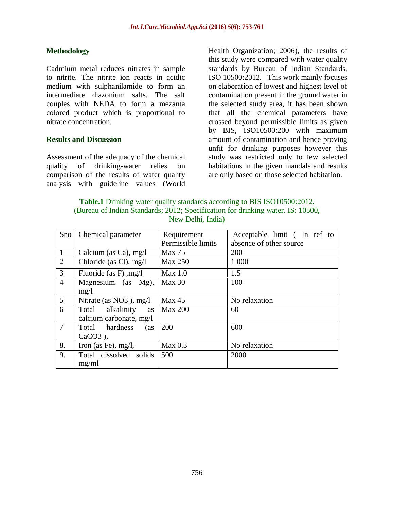#### **Methodology**

Cadmium metal reduces nitrates in sample to nitrite. The nitrite ion reacts in acidic medium with sulphanilamide to form an intermediate diazonium salts. The salt couples with NEDA to form a mezanta colored product which is proportional to nitrate concentration.

#### **Results and Discussion**

Assessment of the adequacy of the chemical quality of drinking-water relies on comparison of the results of water quality analysis with guideline values (World Health Organization; 2006), the results of this study were compared with water quality standards by Bureau of Indian Standards, ISO 10500:2012. This work mainly focuses on elaboration of lowest and highest level of contamination present in the ground water in the selected study area, it has been shown that all the chemical parameters have crossed beyond permissible limits as given by BIS, ISO10500:200 with maximum amount of contamination and hence proving unfit for drinking purposes however this study was restricted only to few selected habitations in the given mandals and results are only based on those selected habitation.

| <b>Table.1</b> Drinking water quality standards according to BIS ISO10500:2012. |
|---------------------------------------------------------------------------------|
| (Bureau of Indian Standards; 2012; Specification for drinking water. IS: 10500, |
| New Delhi, India)                                                               |

| Sno            | Chemical parameter        | Requirement        | Acceptable limit (In ref to |  |  |  |  |
|----------------|---------------------------|--------------------|-----------------------------|--|--|--|--|
|                |                           | Permissible limits | absence of other source     |  |  |  |  |
| $\mathbf{1}$   | Calcium (as Ca), $mg/l$   | <b>Max 75</b>      | 200                         |  |  |  |  |
| $\overline{2}$ | Chloride (as Cl), $mg/l$  | <b>Max 250</b>     | 1 000                       |  |  |  |  |
| $\overline{3}$ | Fluoride (as F), $mg/l$   | Max 1.0            | 1.5                         |  |  |  |  |
| $\overline{4}$ | Magnesium (as Mg),        | Max 30             | 100                         |  |  |  |  |
|                | mg/l                      |                    |                             |  |  |  |  |
| $\overline{5}$ | Nitrate (as $NO3$ ), mg/l | Max 45             | No relaxation               |  |  |  |  |
| 6              | Total alkalinity<br>as    | <b>Max 200</b>     | 60                          |  |  |  |  |
|                | calcium carbonate, mg/l   |                    |                             |  |  |  |  |
| $\overline{7}$ | Total hardness<br>(as     | 200                | 600                         |  |  |  |  |
|                | $CaCO3$ ),                |                    |                             |  |  |  |  |
| 8.             | Iron (as Fe), $mg/l$ ,    | Max 0.3            | No relaxation               |  |  |  |  |
| 9.             | Total dissolved solids    | 500                | 2000                        |  |  |  |  |
|                | mg/ml                     |                    |                             |  |  |  |  |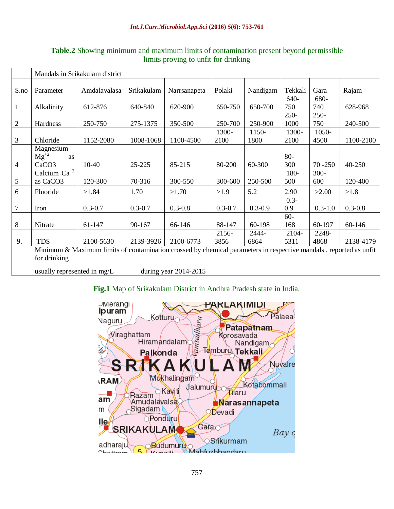#### *Int.J.Curr.Microbiol.App.Sci* **(2016)** *5***(6): 753-761**

|                | Mandals in Srikakulam district                                                                                                    |              |             |              |               |               |                 |                |             |  |
|----------------|-----------------------------------------------------------------------------------------------------------------------------------|--------------|-------------|--------------|---------------|---------------|-----------------|----------------|-------------|--|
| S.no           | Parameter                                                                                                                         | Amdalavalasa | Srikakulam  | Narrsanapeta | Polaki        | Nandigam      | Tekkali         | Gara           | Rajam       |  |
| $\mathbf{1}$   | Alkalinity                                                                                                                        | 612-876      | 640-840     | 620-900      | 650-750       | 650-700       | 640-<br>750     | 680-<br>740    | 628-968     |  |
| $\overline{2}$ | Hardness                                                                                                                          | 250-750      | 275-1375    | 350-500      | 250-700       | 250-900       | $250 -$<br>1000 | $250 -$<br>750 | 240-500     |  |
| 3              | Chloride                                                                                                                          | 1152-2080    | 1008-1068   | 1100-4500    | 1300-<br>2100 | 1150-<br>1800 | 1300-<br>2100   | 1050-<br>4500  | 1100-2100   |  |
| $\overline{4}$ | Magnesium<br>$\overline{\text{Mg}}^{\overline{+2}}$<br><b>as</b><br>CaCO <sub>3</sub>                                             | 10-40        | 25-225      | 85-215       | 80-200        | 60-300        | $80-$<br>300    | $70 - 250$     | 40-250      |  |
| 5              | Calcium $Ca^{+2}$<br>as CaCO <sub>3</sub>                                                                                         | 120-300      | 70-316      | 300-550      | 300-600       | 250-500       | 180-<br>500     | $300 -$<br>600 | 120-400     |  |
| 6              | Fluoride                                                                                                                          | >1.84        | 1.70        | >1.70        | >1.9          | 5.2           | 2.90            | >2.00          | >1.8        |  |
| 7              | Iron                                                                                                                              | $0.3 - 0.7$  | $0.3 - 0.7$ | $0.3 - 0.8$  | $0.3 - 0.7$   | $0.3 - 0.9$   | $0.3 -$<br>0.9  | $0.3 - 1.0$    | $0.3 - 0.8$ |  |
| 8              | Nitrate                                                                                                                           | 61-147       | 90-167      | 66-146       | 88-147        | 60-198        | $60 -$<br>168   | 60-197         | 60-146      |  |
| 9.             | <b>TDS</b>                                                                                                                        | 2100-5630    | 2139-3926   | 2100-6773    | 2156-<br>3856 | 2444-<br>6864 | 2104-<br>5311   | 2248-<br>4868  | 2138-4179   |  |
|                | Minimum & Maximum limits of contamination crossed by chemical parameters in respective mandals, reported as unfit<br>for drinking |              |             |              |               |               |                 |                |             |  |

**Table.2** Showing minimum and maximum limits of contamination present beyond permissible limits proving to unfit for drinking

usually represented in mg/L during year 2014-2015

# **Fig.1** Map of Srikakulam District in Andhra Pradesh state in India.

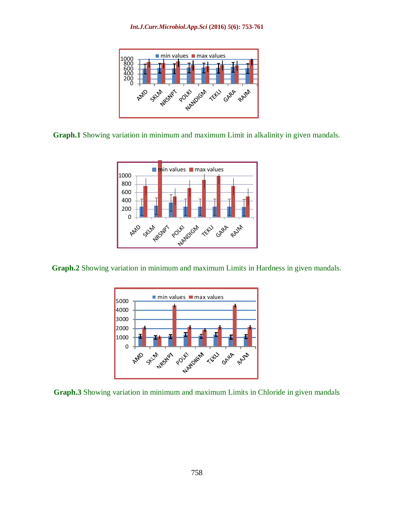

**Graph.1** Showing variation in minimum and maximum Limit in alkalinity in given mandals.



**Graph.2** Showing variation in minimum and maximum Limits in Hardness in given mandals.



**Graph.3** Showing variation in minimum and maximum Limits in Chloride in given mandals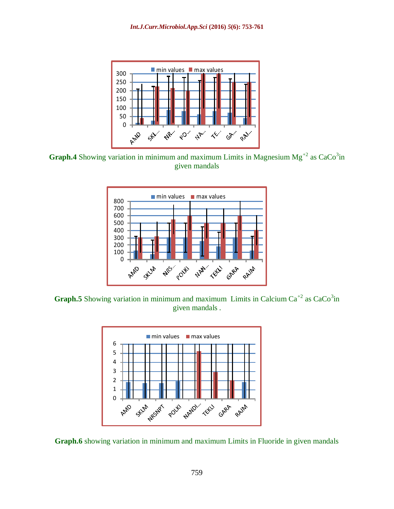

**Graph.4** Showing variation in minimum and maximum Limits in Magnesium  $Mg^{2}$  as  $CaCo^{3}$ in given mandals



**Graph.5** Showing variation in minimum and maximum Limits in Calcium  $Ca^{+2}$  as  $CaCo^{3}$ in given mandals .



**Graph.6** showing variation in minimum and maximum Limits in Fluoride in given mandals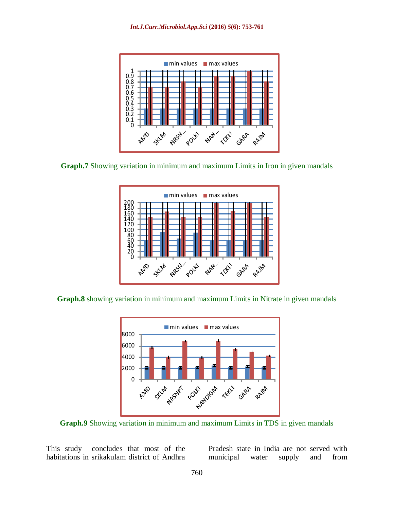





**Graph.8** showing variation in minimum and maximum Limits in Nitrate in given mandals



**Graph.9** Showing variation in minimum and maximum Limits in TDS in given mandals

This study concludes that most of the habitations in srikakulam district of Andhra

Pradesh state in India are not served with municipal water supply and from